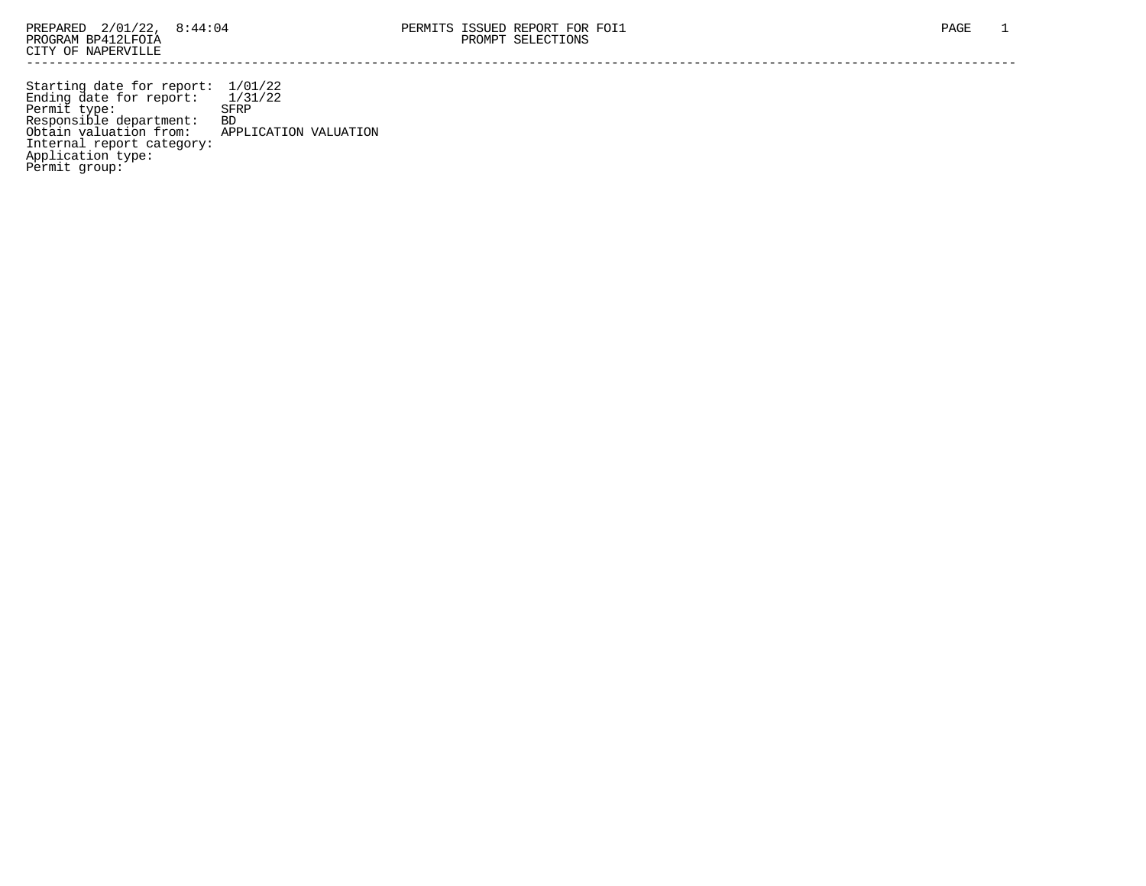Starting date for report: 1/01/22 Ending date for report: 1/31/22 Permit type: SFRP Responsible department: BD Obtain valuation from: APPLICATION VALUATION Internal report category: Application type: Permit group: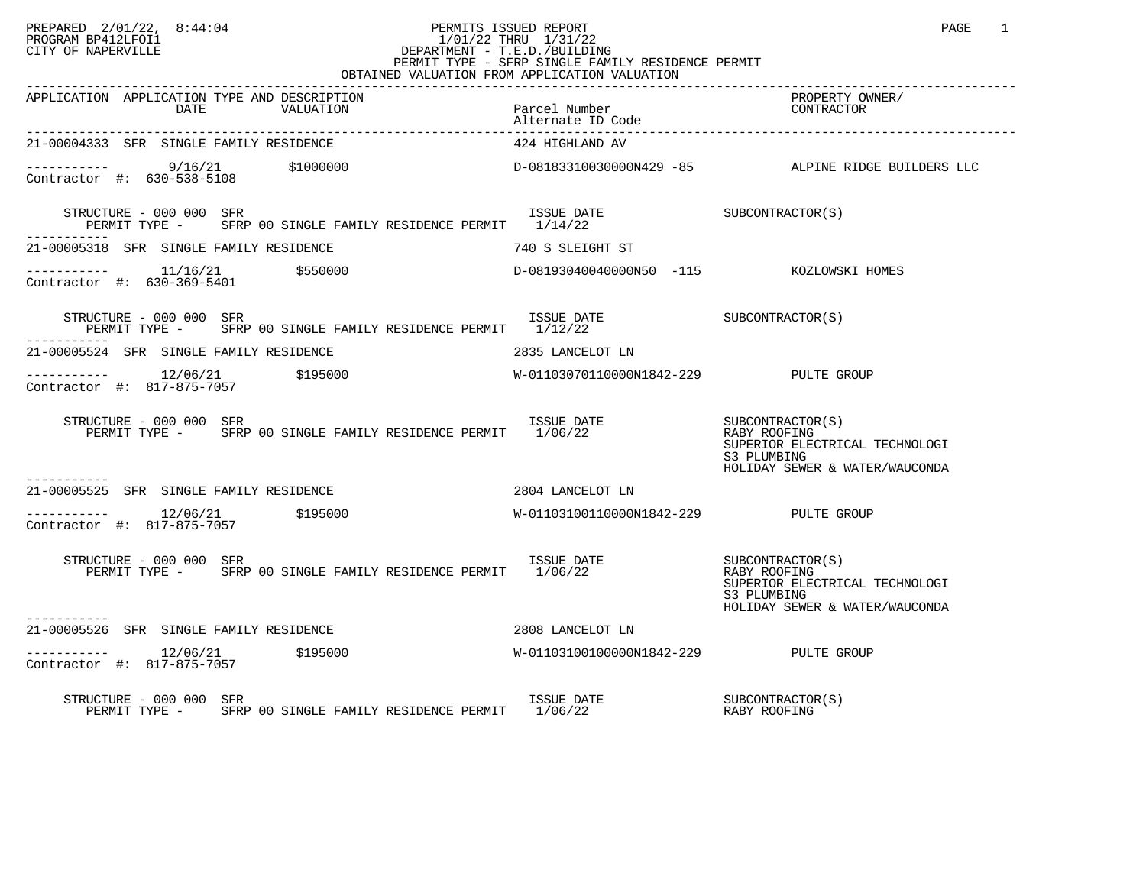#### PREPARED 2/01/22, 8:44:04 PERMITS ISSUED REPORT PAGE 1 PROGRAM BP412LFOI1 1/01/22 THRU 1/31/22 CITY OF NAPERVILLE **Example 20** CITY OF NAPERVILLE CITY OF NAPERVILLE<br>
PERMIT TYPE - SFRP SINGLE FAMILY RESIDENCE PERMIT<br>
PERMIT TYPE - SFRP SINGLE FAMILY RESIDENCE PERMIT OBTAINED VALUATION FROM APPLICATION VALUATION

| APPLICATION APPLICATION TYPE AND DESCRIPTION<br>DATE<br>VALUATION                                                                                       | Parcel Number<br>Alternate ID Code    | PROPERTY OWNER/<br>CONTRACTOR                                                                   |
|---------------------------------------------------------------------------------------------------------------------------------------------------------|---------------------------------------|-------------------------------------------------------------------------------------------------|
| 21-00004333 SFR SINGLE FAMILY RESIDENCE                                                                                                                 | 424 HIGHLAND AV                       |                                                                                                 |
| ---------- 9/16/21 \$1000000 \$1000000 D-08183310030000N429 -85 ALPINE RIDGE BUILDERS LLC<br>Contractor #: 630-538-5108<br>Contractor #: 630-538-5108   |                                       |                                                                                                 |
| STRUCTURE - 000 000 SFR<br>PERMIT TYPE - SFRP 00 SINGLE FAMILY RESIDENCE PERMIT 1/14/22<br>------------                                                 | ISSUE DATE SUBCONTRACTOR(S)           |                                                                                                 |
| 21-00005318 SFR SINGLE FAMILY RESIDENCE                                                                                                                 | 740 S SLEIGHT ST                      |                                                                                                 |
|                                                                                                                                                         |                                       |                                                                                                 |
| STRUCTURE - 000 000 SFR                                                                                                                                 |                                       |                                                                                                 |
| 21-00005524 SFR SINGLE FAMILY RESIDENCE                                                                                                                 | 2835 LANCELOT LN                      |                                                                                                 |
| ----------- 12/06/21 \$195000<br>Contractor #: 817-875-7057                                                                                             | W-01103070110000N1842-229 PULTE GROUP |                                                                                                 |
| RUCTURE – 000 000 SFR<br>PERMIT TYPE – SFRP 00 SINGLE FAMILY RESIDENCE PERMIT 1/06/22 – RABY ROOFING<br>STRUCTURE - 000 000 SFR                         |                                       | SUPERIOR ELECTRICAL TECHNOLOGI<br>S3 PLUMBING<br>HOLIDAY SEWER & WATER/WAUCONDA                 |
| 21-00005525 SFR SINGLE FAMILY RESIDENCE                                                                                                                 | 2804 LANCELOT LN                      |                                                                                                 |
| $\begin{tabular}{ll} \texttt{-----} \texttt{-----} & 12/06/21 & \texttt{\$195000} \\ \texttt{Contractor} & \texttt{#:} & 817-875-7057 \\ \end{tabular}$ | W-01103100110000N1842-229 PULTE GROUP |                                                                                                 |
| STRUCTURE - 000 000 SFR<br>PERMIT TYPE -       SFRP 00 SINGLE FAMILY RESIDENCE PERMIT     1/06/22                                                       | ISSUE DATE SUBCONTRACTOR(S)           | RABY ROOFING<br>SUPERIOR ELECTRICAL TECHNOLOGI<br>S3 PLUMBING<br>HOLIDAY SEWER & WATER/WAUCONDA |
| 21-00005526 SFR SINGLE FAMILY RESIDENCE                                                                                                                 | 2808 LANCELOT LN                      |                                                                                                 |
| $\frac{12}{06/21}$ \$195000<br>Contractor #: 817-875-7057                                                                                               | W-01103100100000N1842-229 PULTE GROUP |                                                                                                 |
| STRUCTURE - 000 000 SFR                                                                                                                                 |                                       | SUBCONTRACTOR(S)<br>RABY ROOFING                                                                |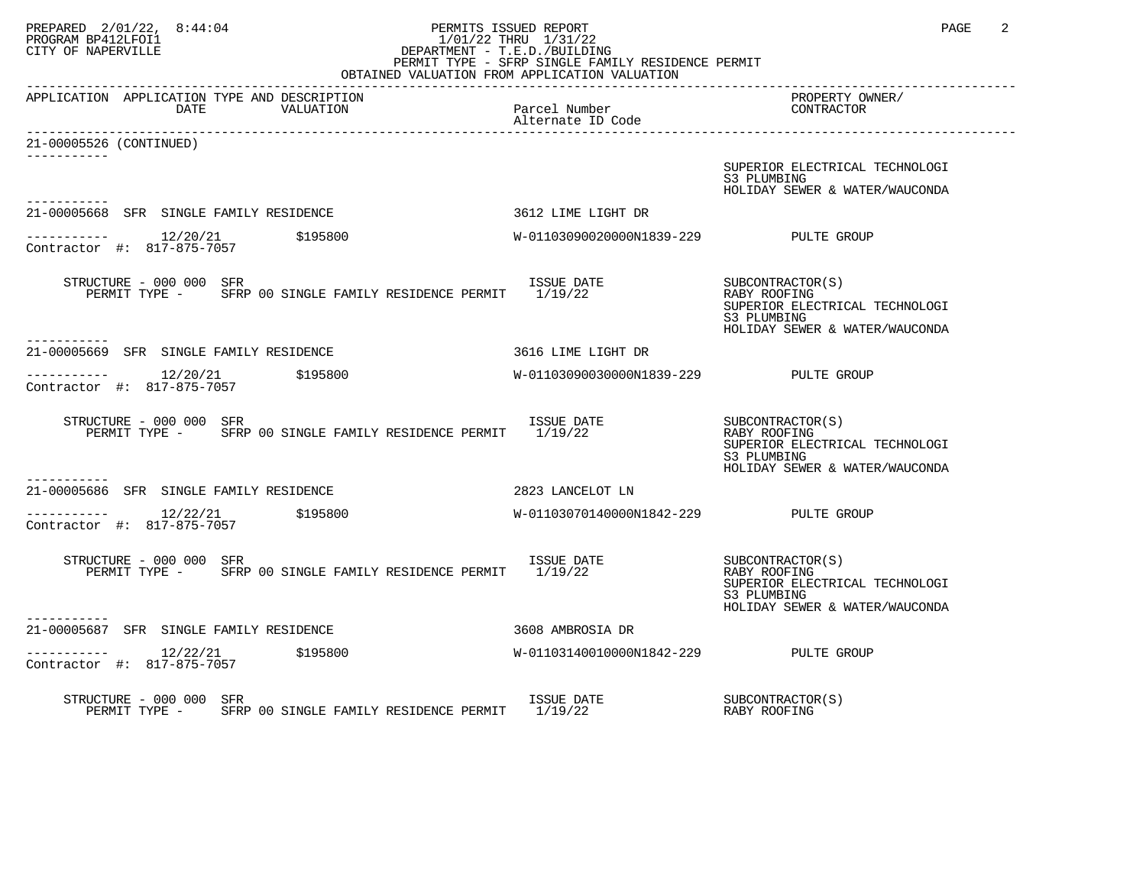# PREPARED 2/01/22, 8:44:04 PERMITS ISSUED REPORT PAGE 2 PROGRAM BP412LFOI1 1/01/22 THRU 1/31/22 CITY OF NAPERVILLE **Example 20** CITY OF NAPERVILLE PERMIT TYPE - SFRP SINGLE FAMILY RESIDENCE PERMIT

 OBTAINED VALUATION FROM APPLICATION VALUATION ------------------------------------------------------------------------------------------------------------------------------------ APPLICATION APPLICATION TYPE AND DESCRIPTION PROPERTY OWNER/ DATE VALUATION Alternate ID Code ------------------------------------------------------------------------------------------------------------------------------------ 21-00005526 (CONTINUED) ----------- SUPERIOR ELECTRICAL TECHNOLOGI<br>S3 PLUMBING S3 PLUMBING HOLIDAY SEWER & WATER/WAUCONDA ----------- 21-00005668 SFR SINGLE FAMILY RESIDENCE 3612 LIME LIGHT DR ----------- 12/20/21 \$195800 W-01103090020000N1839-229 PULTE GROUP Contractor #: 817-875-7057 STRUCTURE - 000 000 SFR ISSUE DATE SUBCONTRACTOR(S) PERMIT TYPE - SFRP 00 SINGLE FAMILY RESIDENCE PERMIT 1/19/22 RABY ROOFING SUPERIOR ELECTRICAL TECHNOLOGI<br>S3 PLUMBING S3 PLUMBING HOLIDAY SEWER & WATER/WAUCONDA ----------- 21-00005669 SFR SINGLE FAMILY RESIDENCE 3616 LIME LIGHT DR ----------- 12/20/21 \$195800 W-01103090030000N1839-229 PULTE GROUP Contractor #: 817-875-7057 STRUCTURE - 000 000 SFR<br>PERMIT TYPE - SFRP 00 SINGLE FAMILY RESIDENCE PERMIT 1/19/22 2 RABY ROOFING PERMIT TYPE - SFRP 00 SINGLE FAMILY RESIDENCE PERMIT 1/19/22 SUPERIOR ELECTRICAL TECHNOLOGI<br>S3 PLUMBING S3 PLUMBING HOLIDAY SEWER & WATER/WAUCONDA ----------- 21-00005686 SFR SINGLE FAMILY RESIDENCE 2823 LANCELOT LN ----------- 12/22/21 \$195800 W-01103070140000N1842-229 PULTE GROUP Contractor #: 817-875-7057 STRUCTURE - 000 000 SFR ISSUE DATE SUBCONTRACTOR(S) PERMIT TYPE - SFRP 00 SINGLE FAMILY RESIDENCE PERMIT 1/19/22 RABY ROOFING SUPERIOR ELECTRICAL TECHNOLOGI<br>S3 PLUMBING S3 PLUMBING HOLIDAY SEWER & WATER/WAUCONDA ----------- 21-00005687 SFR SINGLE FAMILY RESIDENCE 3608 AMBROSIA DR ----------- 12/22/21 \$195800 W-01103140010000N1842-229 PULTE GROUP Contractor #: 817-875-7057 STRUCTURE - 000 000 SFR ISSUE DATE SUBCONTRACTOR(S) PERMIT TYPE - SFRP 00 SINGLE FAMILY RESIDENCE PERMIT 1/19/22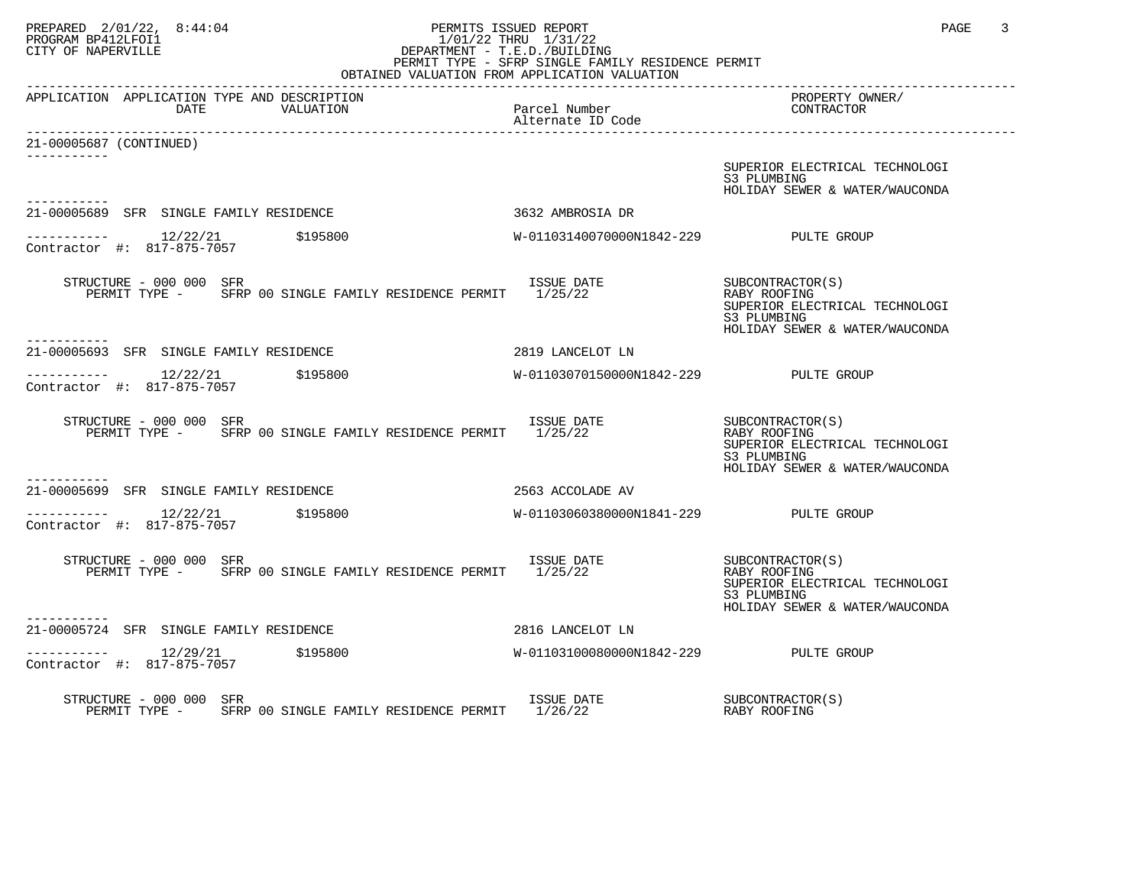# PREPARED 2/01/22, 8:44:04 PERMITS ISSUED REPORT PAGE 3 PROGRAM BP412LFOI1 1/01/22 THRU 1/31/22 CITY OF NAPERVILLE **Example 20** CITY OF NAPERVILLE PERMIT TYPE - SFRP SINGLE FAMILY RESIDENCE PERMIT

 OBTAINED VALUATION FROM APPLICATION VALUATION ------------------------------------------------------------------------------------------------------------------------------------ APPLICATION APPLICATION TYPE AND DESCRIPTION PROPERTY OWNER/ DATE VALUATION Alternate ID Code ------------------------------------------------------------------------------------------------------------------------------------ 21-00005687 (CONTINUED) ----------- SUPERIOR ELECTRICAL TECHNOLOGI<br>S3 PLUMBING S3 PLUMBING HOLIDAY SEWER & WATER/WAUCONDA ----------- 21-00005689 SFR SINGLE FAMILY RESIDENCE 3632 AMBROSIA DR ----------- 12/22/21 \$195800 W-01103140070000N1842-229 PULTE GROUP Contractor #: 817-875-7057 STRUCTURE - 000 000 SFR ISSUE DATE SUBCONTRACTOR(S) PERMIT TYPE - SFRP 00 SINGLE FAMILY RESIDENCE PERMIT 1/25/22 RABY ROOFING SUPERIOR ELECTRICAL TECHNOLOGI<br>S3 PLUMBING S3 PLUMBING HOLIDAY SEWER & WATER/WAUCONDA ----------- 21-00005693 SFR SINGLE FAMILY RESIDENCE 2819 LANCELOT LN ----------- 12/22/21 \$195800 W-01103070150000N1842-229 PULTE GROUP Contractor #: 817-875-7057 STRUCTURE - 000 000 SFR<br>PERMIT TYPE - SFRP 00 SINGLE FAMILY RESIDENCE PERMIT 1/25/22 2 RABY ROOFING PERMIT TYPE - SFRP 00 SINGLE FAMILY RESIDENCE PERMIT 1/25/22 SUPERIOR ELECTRICAL TECHNOLOGI<br>S3 PLUMBING S3 PLUMBING HOLIDAY SEWER & WATER/WAUCONDA ----------- 21-00005699 SFR SINGLE FAMILY RESIDENCE 2563 ACCOLADE AV ----------- 12/22/21 \$195800 W-01103060380000N1841-229 PULTE GROUP Contractor #: 817-875-7057 STRUCTURE - 000 000 SFR ISSUE DATE SUBCONTRACTOR(S) PERMIT TYPE - SFRP 00 SINGLE FAMILY RESIDENCE PERMIT 1/25/22 RABY ROOFING SUPERIOR ELECTRICAL TECHNOLOGI<br>S3 PLUMBING S3 PLUMBING HOLIDAY SEWER & WATER/WAUCONDA ----------- 21-00005724 SFR SINGLE FAMILY RESIDENCE 2816 LANCELOT LN ----------- 12/29/21 \$195800 W-01103100080000N1842-229 PULTE GROUP Contractor #: 817-875-7057 STRUCTURE - 000 000 SFR ISSUE DATE SUBCONTRACTOR(S) PERMIT TYPE - SFRP 00 SINGLE FAMILY RESIDENCE PERMIT 1/26/22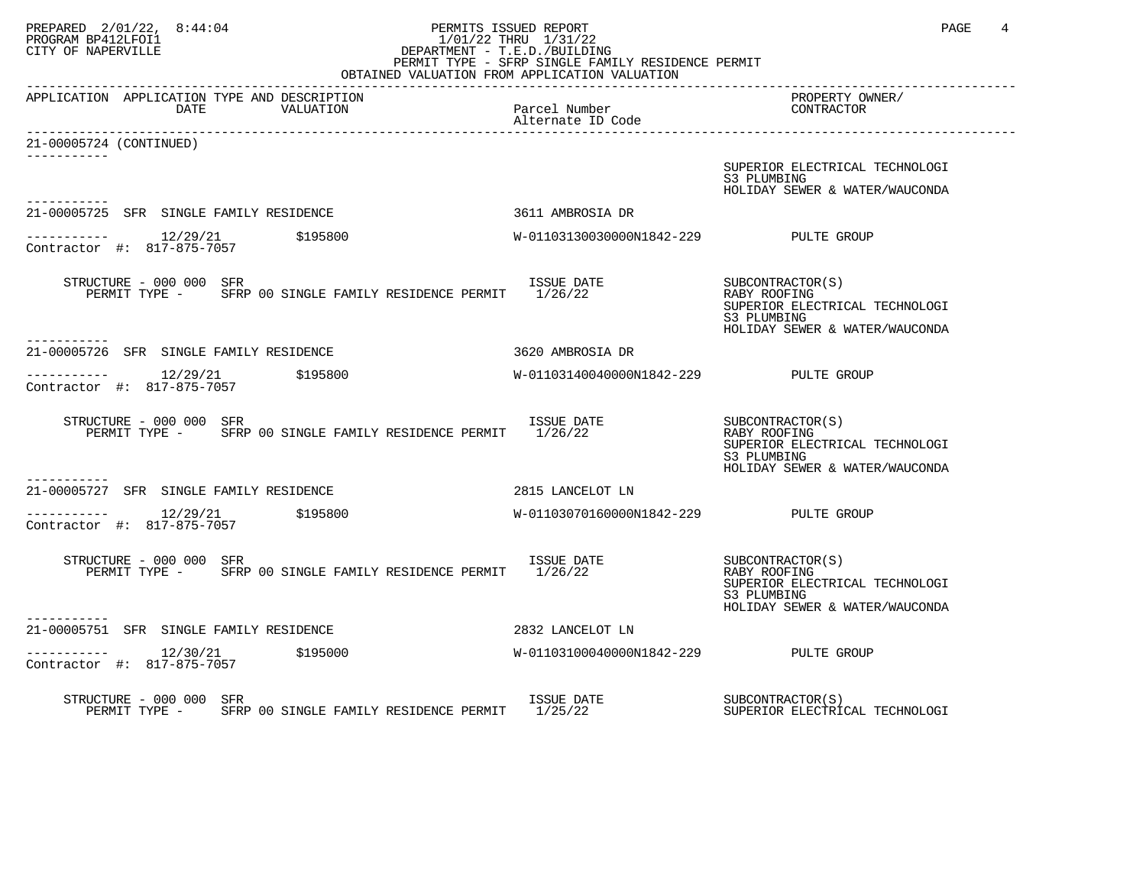# PREPARED 2/01/22, 8:44:04 PERMITS ISSUED REPORT PAGE 4 PROGRAM BP412LFOI1 1/01/22 THRU 1/31/22 CITY OF NAPERVILLE **Example 20** CITY OF NAPERVILLE PERMIT TYPE - SFRP SINGLE FAMILY RESIDENCE PERMIT

 OBTAINED VALUATION FROM APPLICATION VALUATION ------------------------------------------------------------------------------------------------------------------------------------ APPLICATION APPLICATION TYPE AND DESCRIPTION PROPERTY OWNER/ DATE VALUATION Alternate ID Code ------------------------------------------------------------------------------------------------------------------------------------ 21-00005724 (CONTINUED) ----------- SUPERIOR ELECTRICAL TECHNOLOGI<br>S3 PLUMBING S3 PLUMBING HOLIDAY SEWER & WATER/WAUCONDA ----------- 21-00005725 SFR SINGLE FAMILY RESIDENCE 3611 AMBROSIA DR ----------- 12/29/21 \$195800 W-01103130030000N1842-229 PULTE GROUP Contractor #: 817-875-7057 STRUCTURE - 000 000 SFR ISSUE DATE SUBCONTRACTOR(S) PERMIT TYPE - SFRP 00 SINGLE FAMILY RESIDENCE PERMIT 1/26/22 RABY ROOFING SUPERIOR ELECTRICAL TECHNOLOGI<br>S3 PLUMBING S3 PLUMBING HOLIDAY SEWER & WATER/WAUCONDA ----------- 21-00005726 SFR SINGLE FAMILY RESIDENCE 3620 AMBROSIA DR ----------- 12/29/21 \$195800 W-01103140040000N1842-229 PULTE GROUP Contractor #: 817-875-7057 STRUCTURE - 000 000 SFR<br>PERMIT TYPE - SFRP 00 SINGLE FAMILY RESIDENCE PERMIT 1/26/22 2005 RABY ROOFING PERMIT TYPE - SFRP 00 SINGLE FAMILY RESIDENCE PERMIT 1/26/22 SUPERIOR ELECTRICAL TECHNOLOGI<br>S3 PLUMBING S3 PLUMBING HOLIDAY SEWER & WATER/WAUCONDA ----------- 21-00005727 SFR SINGLE FAMILY RESIDENCE 2815 LANCELOT LN ----------- 12/29/21 \$195800 W-01103070160000N1842-229 PULTE GROUP Contractor #: 817-875-7057 STRUCTURE - 000 000 SFR ISSUE DATE SUBCONTRACTOR(S) PERMIT TYPE - SFRP 00 SINGLE FAMILY RESIDENCE PERMIT 1/26/22 RABY ROOFING SUPERIOR ELECTRICAL TECHNOLOGI<br>S3 PLUMBING S3 PLUMBING HOLIDAY SEWER & WATER/WAUCONDA ----------- 21-00005751 SFR SINGLE FAMILY RESIDENCE 2832 LANCELOT LN ----------- 12/30/21 \$195000 W-01103100040000N1842-229 PULTE GROUP Contractor #: 817-875-7057 STRUCTURE - 000 000 SFR<br>PERMIT TYPE - SFRP 00 SINGLE FAMILY RESIDENCE PERMIT 1/25/22 SUBCONTRACTOR(S) PERMIT TYPE - SFRP 00 SINGLE FAMILY RESIDENCE PERMIT 1/25/22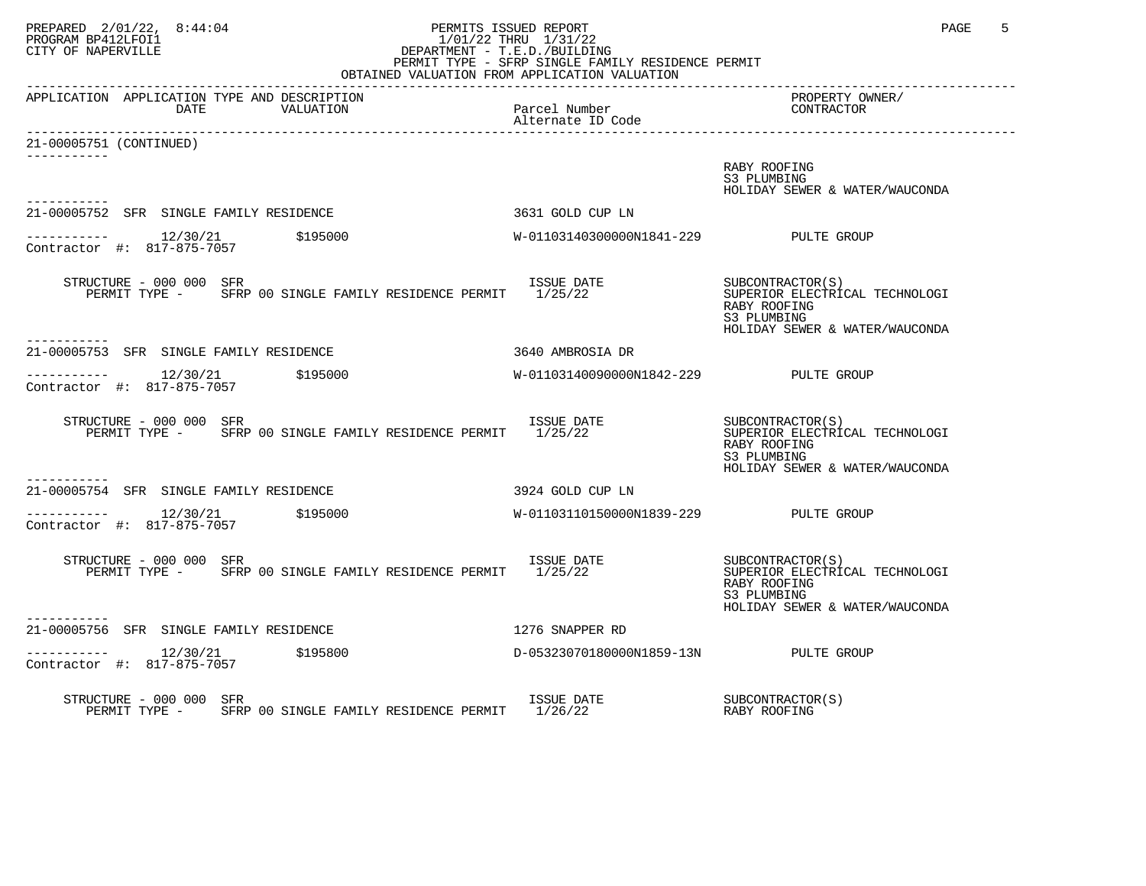# PREPARED 2/01/22, 8:44:04 PERMITS ISSUED REPORT PAGE 5 PROGRAM BP412LFOI1 1/01/22 THRU 1/31/22 CITY OF NAPERVILLE **Example 20** CITY OF NAPERVILLE PERMIT TYPE - SFRP SINGLE FAMILY RESIDENCE PERMIT

 OBTAINED VALUATION FROM APPLICATION VALUATION ------------------------------------------------------------------------------------------------------------------------------------ APPLICATION APPLICATION TYPE AND DESCRIPTION PROPERTY OWNER/ DATE VALUATION Alternate ID Code ------------------------------------------------------------------------------------------------------------------------------------ 21-00005751 (CONTINUED) ----------- RABY ROOFING S3 PLUMBING HOLIDAY SEWER & WATER/WAUCONDA ----------- 21-00005752 SFR SINGLE FAMILY RESIDENCE 3631 GOLD CUP LN ----------- 12/30/21 \$195000 W-01103140300000N1841-229 PULTE GROUP Contractor #: 817-875-7057 STRUCTURE - 000 000 SFR ISSUE DATE SUBCONTRACTOR(S) PERMIT TYPE - SFRP 00 SINGLE FAMILY RESIDENCE PERMIT 1/25/22 SUPERIOR ELECTRICAL TECHNOLOGI RABY ROOFING S3 PLUMBING HOLIDAY SEWER & WATER/WAUCONDA ----------- 21-00005753 SFR SINGLE FAMILY RESIDENCE 3640 AMBROSIA DR ----------- 12/30/21 \$195000 W-01103140090000N1842-229 PULTE GROUP Contractor #: 817-875-7057 STRUCTURE - 000 000 SFR<br>PERMIT TYPE - SFRP 00 SINGLE FAMILY RESIDENCE PERMIT 1/25/22 SUPERIOR ELECTRICAL TECHNOLOGI PERMIT TYPE - SFRP 00 SINGLE FAMILY RESIDENCE PERMIT 1/25/22 SUPERIOR ELECTRICAL TECHNOLOGICAL TECHNOLOGICAL T<br>RABY ROOFING RABY ROOFING S3 PLUMBING HOLIDAY SEWER & WATER/WAUCONDA ----------- 21-00005754 SFR SINGLE FAMILY RESIDENCE 3924 GOLD CUP LN ----------- 12/30/21 \$195000 W-01103110150000N1839-229 PULTE GROUP Contractor #: 817-875-7057 STRUCTURE - 000 000 SFR ISSUE DATE SUBCONTRACTOR(S) PERMIT TYPE - SFRP 00 SINGLE FAMILY RESIDENCE PERMIT 1/25/22 SUPERIOR ELECTRICAL TECHNOLOGI RABY ROOFING S3 PLUMBING HOLIDAY SEWER & WATER/WAUCONDA ----------- 21-00005756 SFR SINGLE FAMILY RESIDENCE 1276 SNAPPER RD ----------- 12/30/21 \$195800 D-05323070180000N1859-13N PULTE GROUP Contractor #: 817-875-7057 STRUCTURE - 000 000 SFR ISSUE DATE SUBCONTRACTOR(S) PERMIT TYPE - SFRP 00 SINGLE FAMILY RESIDENCE PERMIT 1/26/22